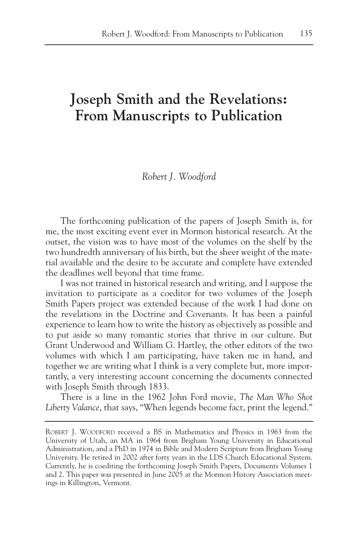# **Joseph Smith and the Revelations: From Manuscripts to Publication**

# *Robert J. Woodford*

The forthcoming publication of the papers of Joseph Smith is, for me, the most exciting event ever in Mormon historical research. At the outset, the vision was to have most of the volumes on the shelf by the two hundredth anniversary of his birth, but the sheer weight of the material available and the desire to be accurate and complete have extended the deadlines well beyond that time frame.

I was not trained in historical research and writing, and I suppose the invitation to participate as a coeditor for two volumes of the Joseph Smith Papers project was extended because of the work I had done on the revelations in the Doctrine and Covenants. It has been a painful experience to learn how to write the history as objectively as possible and to put aside so many romantic stories that thrive in our culture. But Grant Underwood and William G. Hartley, the other editors of the two volumes with which I am participating, have taken me in hand, and together we are writing what I think is a very complete but, more importantly, a very interesting account concerning the documents connected with Joseph Smith through 1833.

There is a line in the 1962 John Ford movie, *The Man Who Shot Liberty Valance*, that says, "When legends become fact, print the legend."

ROBERT J. WOODFORD received a BS in Mathematics and Physics in 1963 from the University of Utah, an MA in 1964 from Brigham Young University in Educational Administration, and a PhD in 1974 in Bible and Modern Scripture from Brigham Young University. He retired in 2002 after forty years in the LDS Church Educational System. Currently, he is coediting the forthcoming Joseph Smith Papers, Documents Volumes 1 and 2. This paper was presented in June 2005 at the Mormon History Association meetings in Killington, Vermont.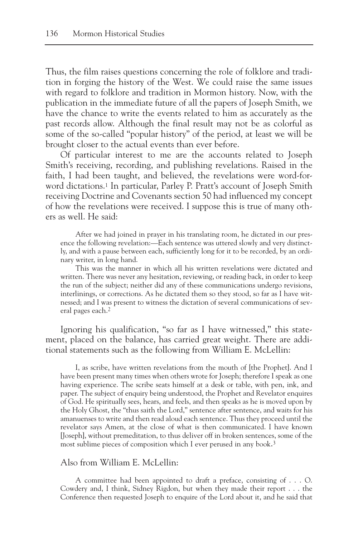Thus, the film raises questions concerning the role of folklore and tradition in forging the history of the West. We could raise the same issues with regard to folklore and tradition in Mormon history. Now, with the publication in the immediate future of all the papers of Joseph Smith, we have the chance to write the events related to him as accurately as the past records allow. Although the final result may not be as colorful as some of the so-called "popular history" of the period, at least we will be brought closer to the actual events than ever before.

Of particular interest to me are the accounts related to Joseph Smith's receiving, recording, and publishing revelations. Raised in the faith, I had been taught, and believed, the revelations were word-forword dictations.1 In particular, Parley P. Pratt's account of Joseph Smith receiving Doctrine and Covenants section 50 had influenced my concept of how the revelations were received. I suppose this is true of many others as well. He said:

After we had joined in prayer in his translating room, he dictated in our presence the following revelation:—Each sentence was uttered slowly and very distinctly, and with a pause between each, sufficiently long for it to be recorded, by an ordinary writer, in long hand.

This was the manner in which all his written revelations were dictated and written. There was never any hesitation, reviewing, or reading back, in order to keep the run of the subject; neither did any of these communications undergo revisions, interlinings, or corrections. As he dictated them so they stood, so far as I have witnessed; and I was present to witness the dictation of several communications of several pages each.<sup>2</sup>

Ignoring his qualification, "so far as I have witnessed," this statement, placed on the balance, has carried great weight. There are additional statements such as the following from William E. McLellin:

I, as scribe, have written revelations from the mouth of [the Prophet]. And I have been present many times when others wrote for Joseph; therefore I speak as one having experience. The scribe seats himself at a desk or table, with pen, ink, and paper. The subject of enquiry being understood, the Prophet and Revelator enquires of God. He spiritually sees, hears, and feels, and then speaks as he is moved upon by the Holy Ghost, the "thus saith the Lord," sentence after sentence, and waits for his amanuenses to write and then read aloud each sentence. Thus they proceed until the revelator says Amen, at the close of what is then communicated. I have known [Joseph], without premeditation, to thus deliver off in broken sentences, some of the most sublime pieces of composition which I ever perused in any book.3

# Also from William E. McLellin:

A committee had been appointed to draft a preface, consisting of . . . O. Cowdery and, I think, Sidney Rigdon, but when they made their report . . . the Conference then requested Joseph to enquire of the Lord about it, and he said that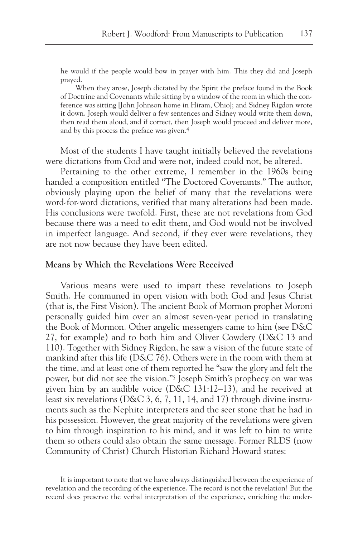he would if the people would bow in prayer with him. This they did and Joseph prayed.

When they arose, Joseph dictated by the Spirit the preface found in the Book of Doctrine and Covenants while sitting by a window of the room in which the conference was sitting [John Johnson home in Hiram, Ohio]; and Sidney Rigdon wrote it down. Joseph would deliver a few sentences and Sidney would write them down, then read them aloud, and if correct, then Joseph would proceed and deliver more, and by this process the preface was given.4

Most of the students I have taught initially believed the revelations were dictations from God and were not, indeed could not, be altered.

Pertaining to the other extreme, I remember in the 1960s being handed a composition entitled "The Doctored Covenants." The author, obviously playing upon the belief of many that the revelations were word-for-word dictations, verified that many alterations had been made. His conclusions were twofold. First, these are not revelations from God because there was a need to edit them, and God would not be involved in imperfect language. And second, if they ever were revelations, they are not now because they have been edited.

### **Means by Which the Revelations Were Received**

Various means were used to impart these revelations to Joseph Smith. He communed in open vision with both God and Jesus Christ (that is, the First Vision). The ancient Book of Mormon prophet Moroni personally guided him over an almost seven-year period in translating the Book of Mormon. Other angelic messengers came to him (see D&C 27, for example) and to both him and Oliver Cowdery (D&C 13 and 110). Together with Sidney Rigdon, he saw a vision of the future state of mankind after this life (D&C 76). Others were in the room with them at the time, and at least one of them reported he "saw the glory and felt the power, but did not see the vision."5 Joseph Smith's prophecy on war was given him by an audible voice (D&C 131:12–13), and he received at least six revelations (D&C 3, 6, 7, 11, 14, and 17) through divine instruments such as the Nephite interpreters and the seer stone that he had in his possession. However, the great majority of the revelations were given to him through inspiration to his mind, and it was left to him to write them so others could also obtain the same message. Former RLDS (now Community of Christ) Church Historian Richard Howard states:

It is important to note that we have always distinguished between the experience of revelation and the recording of the experience. The record is not the revelation! But the record does preserve the verbal interpretation of the experience, enriching the under-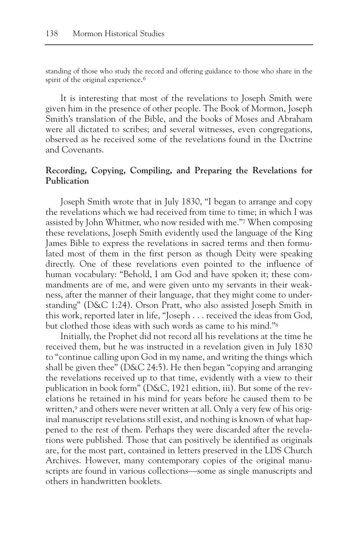standing of those who study the record and offering guidance to those who share in the spirit of the original experience.<sup>6</sup>

It is interesting that most of the revelations to Joseph Smith were given him in the presence of other people. The Book of Mormon, Joseph Smith's translation of the Bible, and the books of Moses and Abraham were all dictated to scribes; and several witnesses, even congregations, observed as he received some of the revelations found in the Doctrine and Covenants.

## **Recording, Copying, Compiling, and Preparing the Revelations for Publication**

Joseph Smith wrote that in July 1830, "I began to arrange and copy the revelations which we had received from time to time; in which I was assisted by John Whitmer, who now resided with me."7 When composing these revelations, Joseph Smith evidently used the language of the King James Bible to express the revelations in sacred terms and then formulated most of them in the first person as though Deity were speaking directly. One of these revelations even pointed to the influence of human vocabulary: "Behold, I am God and have spoken it; these commandments are of me, and were given unto my servants in their weakness, after the manner of their language, that they might come to understanding" (D&C 1:24). Orson Pratt, who also assisted Joseph Smith in this work, reported later in life, "Joseph . . . received the ideas from God, but clothed those ideas with such words as came to his mind."8

Initially, the Prophet did not record all his revelations at the time he received them, but he was instructed in a revelation given in July 1830 to "continue calling upon God in my name, and writing the things which shall be given thee" (D&C 24:5). He then began "copying and arranging the revelations received up to that time, evidently with a view to their publication in book form" (D&C, 1921 edition, iii). But some of the revelations he retained in his mind for years before he caused them to be written,<sup>9</sup> and others were never written at all. Only a very few of his original manuscript revelations still exist, and nothing is known of what happened to the rest of them. Perhaps they were discarded after the revelations were published. Those that can positively be identified as originals are, for the most part, contained in letters preserved in the LDS Church Archives. However, many contemporary copies of the original manuscripts are found in various collections—some as single manuscripts and others in handwritten booklets.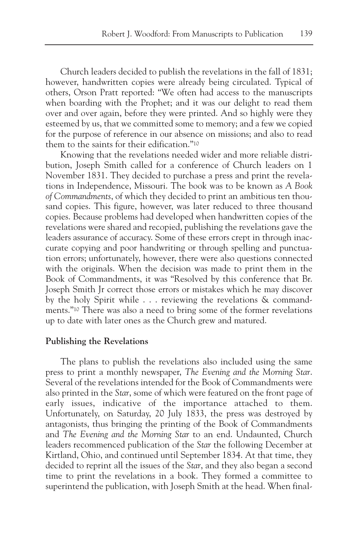Church leaders decided to publish the revelations in the fall of 1831; however, handwritten copies were already being circulated. Typical of others, Orson Pratt reported: "We often had access to the manuscripts when boarding with the Prophet; and it was our delight to read them over and over again, before they were printed. And so highly were they esteemed by us, that we committed some to memory; and a few we copied for the purpose of reference in our absence on missions; and also to read them to the saints for their edification."10

Knowing that the revelations needed wider and more reliable distribution, Joseph Smith called for a conference of Church leaders on 1 November 1831. They decided to purchase a press and print the revelations in Independence, Missouri. The book was to be known as *A Book of Commandments*, of which they decided to print an ambitious ten thousand copies. This figure, however, was later reduced to three thousand copies. Because problems had developed when handwritten copies of the revelations were shared and recopied, publishing the revelations gave the leaders assurance of accuracy. Some of these errors crept in through inaccurate copying and poor handwriting or through spelling and punctuation errors; unfortunately, however, there were also questions connected with the originals. When the decision was made to print them in the Book of Commandments, it was "Resolved by this conference that Br. Joseph Smith Jr correct those errors or mistakes which he may discover by the holy Spirit while . . . reviewing the revelations & commandments."10 There was also a need to bring some of the former revelations up to date with later ones as the Church grew and matured.

## **Publishing the Revelations**

The plans to publish the revelations also included using the same press to print a monthly newspaper, *The Evening and the Morning Star*. Several of the revelations intended for the Book of Commandments were also printed in the *Star*, some of which were featured on the front page of early issues, indicative of the importance attached to them. Unfortunately, on Saturday, 20 July 1833, the press was destroyed by antagonists, thus bringing the printing of the Book of Commandments and *The Evening and the Morning Star* to an end. Undaunted, Church leaders recommenced publication of the *Star* the following December at Kirtland, Ohio, and continued until September 1834. At that time, they decided to reprint all the issues of the *Star*, and they also began a second time to print the revelations in a book. They formed a committee to superintend the publication, with Joseph Smith at the head. When final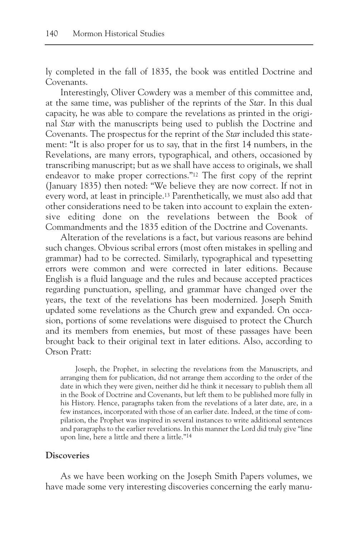ly completed in the fall of 1835, the book was entitled Doctrine and Covenants.

Interestingly, Oliver Cowdery was a member of this committee and, at the same time, was publisher of the reprints of the *Star*. In this dual capacity, he was able to compare the revelations as printed in the original *Star* with the manuscripts being used to publish the Doctrine and Covenants. The prospectus for the reprint of the *Star* included this statement: "It is also proper for us to say, that in the first 14 numbers, in the Revelations, are many errors, typographical, and others, occasioned by transcribing manuscript; but as we shall have access to originals, we shall endeavor to make proper corrections."12 The first copy of the reprint (January 1835) then noted: "We believe they are now correct. If not in every word, at least in principle.13 Parenthetically, we must also add that other considerations need to be taken into account to explain the extensive editing done on the revelations between the Book of Commandments and the 1835 edition of the Doctrine and Covenants.

Alteration of the revelations is a fact, but various reasons are behind such changes. Obvious scribal errors (most often mistakes in spelling and grammar) had to be corrected. Similarly, typographical and typesetting errors were common and were corrected in later editions. Because English is a fluid language and the rules and because accepted practices regarding punctuation, spelling, and grammar have changed over the years, the text of the revelations has been modernized. Joseph Smith updated some revelations as the Church grew and expanded. On occasion, portions of some revelations were disguised to protect the Church and its members from enemies, but most of these passages have been brought back to their original text in later editions. Also, according to Orson Pratt:

Joseph, the Prophet, in selecting the revelations from the Manuscripts, and arranging them for publication, did not arrange them according to the order of the date in which they were given, neither did he think it necessary to publish them all in the Book of Doctrine and Covenants, but left them to be published more fully in his History. Hence, paragraphs taken from the revelations of a later date, are, in a few instances, incorporated with those of an earlier date. Indeed, at the time of compilation, the Prophet was inspired in several instances to write additional sentences and paragraphs to the earlier revelations. In this manner the Lord did truly give "line upon line, here a little and there a little."14

## **Discoveries**

As we have been working on the Joseph Smith Papers volumes, we have made some very interesting discoveries concerning the early manu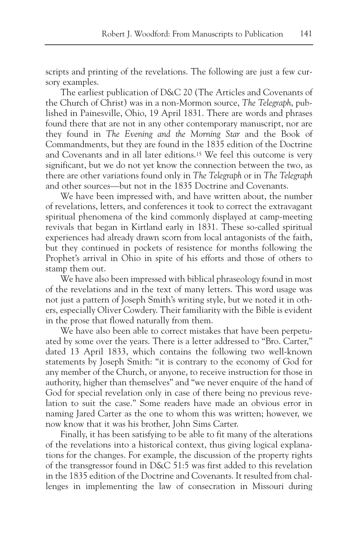scripts and printing of the revelations. The following are just a few cursory examples.

The earliest publication of D&C 20 (The Articles and Covenants of the Church of Christ) was in a non-Mormon source, *The Telegraph*, published in Painesville, Ohio, 19 April 1831. There are words and phrases found there that are not in any other contemporary manuscript, nor are they found in *The Evening and the Morning Star* and the Book of Commandments, but they are found in the 1835 edition of the Doctrine and Covenants and in all later editions.15 We feel this outcome is very significant, but we do not yet know the connection between the two, as there are other variations found only in *The Telegraph* or in *The Telegraph* and other sources—but not in the 1835 Doctrine and Covenants.

We have been impressed with, and have written about, the number of revelations, letters, and conferences it took to correct the extravagant spiritual phenomena of the kind commonly displayed at camp-meeting revivals that began in Kirtland early in 1831. These so-called spiritual experiences had already drawn scorn from local antagonists of the faith, but they continued in pockets of resistence for months following the Prophet's arrival in Ohio in spite of his efforts and those of others to stamp them out.

We have also been impressed with biblical phraseology found in most of the revelations and in the text of many letters. This word usage was not just a pattern of Joseph Smith's writing style, but we noted it in others, especially Oliver Cowdery. Their familiarity with the Bible is evident in the prose that flowed naturally from them.

We have also been able to correct mistakes that have been perpetuated by some over the years. There is a letter addressed to "Bro. Carter," dated 13 April 1833, which contains the following two well-known statements by Joseph Smith: "it is contrary to the economy of God for any member of the Church, or anyone, to receive instruction for those in authority, higher than themselves" and "we never enquire of the hand of God for special revelation only in case of there being no previous revelation to suit the case." Some readers have made an obvious error in naming Jared Carter as the one to whom this was written; however, we now know that it was his brother, John Sims Carter.

Finally, it has been satisfying to be able to fit many of the alterations of the revelations into a historical context, thus giving logical explanations for the changes. For example, the discussion of the property rights of the transgressor found in D&C 51:5 was first added to this revelation in the 1835 edition of the Doctrine and Covenants. It resulted from challenges in implementing the law of consecration in Missouri during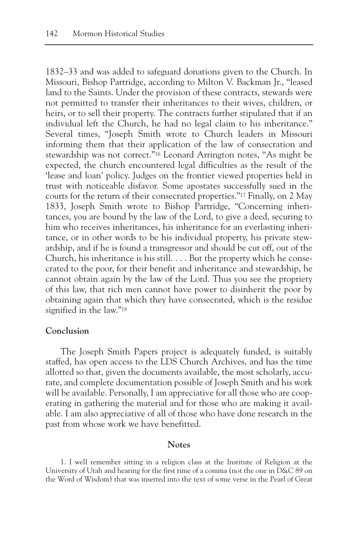1832–33 and was added to safeguard donations given to the Church. In Missouri, Bishop Partridge, according to Milton V. Backman Jr., "leased land to the Saints. Under the provision of these contracts, stewards were not permitted to transfer their inheritances to their wives, children, or heirs, or to sell their property. The contracts further stipulated that if an individual left the Church, he had no legal claim to his inheritance." Several times, "Joseph Smith wrote to Church leaders in Missouri informing them that their application of the law of consecration and stewardship was not correct."16 Leonard Arrington notes, "As might be expected, the church encountered legal difficulties as the result of the 'lease and loan' policy. Judges on the frontier viewed properties held in trust with noticeable disfavor. Some apostates successfully sued in the courts for the return of their consecrated properties."17 Finally, on 2 May 1833, Joseph Smith wrote to Bishop Partridge, "Concerning inheritances, you are bound by the law of the Lord, to give a deed, securing to him who receives inheritances, his inheritance for an everlasting inheritance, or in other words to be his individual property, his private stewardship, and if he is found a transgressor and should be cut off, out of the Church, his inheritance is his still. . . . But the property which he consecrated to the poor, for their benefit and inheritance and stewardship, he cannot obtain again by the law of the Lord. Thus you see the propriety of this law, that rich men cannot have power to disinherit the poor by obtaining again that which they have consecrated, which is the residue signified in the law."18

# **Conclusion**

The Joseph Smith Papers project is adequately funded, is suitably staffed, has open access to the LDS Church Archives, and has the time allotted so that, given the documents available, the most scholarly, accurate, and complete documentation possible of Joseph Smith and his work will be available. Personally, I am appreciative for all those who are cooperating in gathering the material and for those who are making it available. I am also appreciative of all of those who have done research in the past from whose work we have benefitted.

### **Notes**

1. I well remember sitting in a religion class at the Institute of Religion at the University of Utah and hearing for the first time of a comma (not the one in D&C 89 on the Word of Wisdom) that was inserted into the text of some verse in the Pearl of Great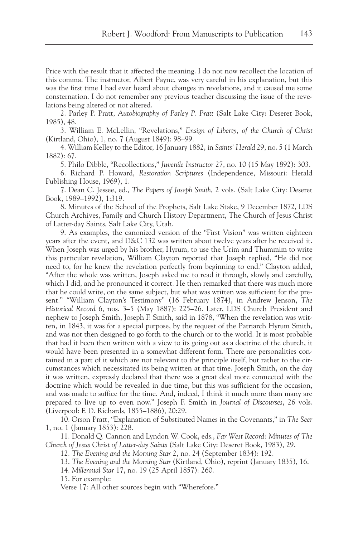Price with the result that it affected the meaning. I do not now recollect the location of this comma. The instructor, Albert Payne, was very careful in his explanation, but this was the first time I had ever heard about changes in revelations, and it caused me some consternation. I do not remember any previous teacher discussing the issue of the revelations being altered or not altered.

2. Parley P. Pratt, *Autobiography of Parley P. Pratt* (Salt Lake City: Deseret Book, 1985), 48.

3. William E. McLellin, "Revelations," *Ensign of Liberty, of the Church of Christ* (Kirtland, Ohio), 1, no. 7 (August 1849): 98–99.

4. William Kelley to the Editor, 16 January 1882, in *Saints' Herald* 29, no. 5 (1 March 1882): 67.

5. Philo Dibble, "Recollections," *Juvenile Instructor* 27, no. 10 (15 May 1892): 303.

6. Richard P. Howard, *Restoration Scriptures* (Independence, Missouri: Herald Publishing House, 1969), 1.

7. Dean C. Jessee, ed., *The Papers of Joseph Smith*, 2 vols. (Salt Lake City: Deseret Book, 1989–1992), 1:319.

8. Minutes of the School of the Prophets, Salt Lake Stake, 9 December 1872, LDS Church Archives, Family and Church History Department, The Church of Jesus Christ of Latter-day Saints, Salt Lake City, Utah.

9. As examples, the canonized version of the "First Vision" was written eighteen years after the event, and D&C 132 was written about twelve years after he received it. When Joseph was urged by his brother, Hyrum, to use the Urim and Thummim to write this particular revelation, William Clayton reported that Joseph replied, "He did not need to, for he knew the revelation perfectly from beginning to end." Clayton added, "After the whole was written, Joseph asked me to read it through, slowly and carefully, which I did, and he pronounced it correct. He then remarked that there was much more that he could write, on the same subject, but what was written was sufficient for the present." "William Clayton's Testimony" (16 February 1874), in Andrew Jenson, *The Historical Record* 6, nos. 3–5 (May 1887): 225–26. Later, LDS Church President and nephew to Joseph Smith, Joseph F. Smith, said in 1878, "When the revelation was written, in 1843, it was for a special purpose, by the request of the Patriarch Hyrum Smith, and was not then designed to go forth to the church or to the world. It is most probable that had it been then written with a view to its going out as a doctrine of the church, it would have been presented in a somewhat different form. There are personalities contained in a part of it which are not relevant to the principle itself, but rather to the circumstances which necessitated its being written at that time. Joseph Smith, on the day it was written, expressly declared that there was a great deal more connected with the doctrine which would be revealed in due time, but this was sufficient for the occasion, and was made to suffice for the time. And, indeed, I think it much more than many are prepared to live up to even now." Joseph F. Smith in *Journal of Discourses*, 26 vols. (Liverpool: F. D. Richards, 1855–1886), 20:29.

10. Orson Pratt, "Explanation of Substituted Names in the Covenants," in *The Seer* 1, no. 1 (January 1853): 228.

11. Donald Q. Cannon and Lyndon W. Cook, eds., *Far West Record: Minutes of The Church of Jesus Christ of Latter-day Saints* (Salt Lake City: Deseret Book, 1983), 29.

12. *The Evening and the Morning Star* 2, no. 24 (September 1834): 192.

13. *The Evening and the Morning Star* (Kirtland, Ohio), reprint (January 1835), 16.

14. *Millennial Star* 17, no. 19 (25 April 1857): 260.

15. For example:

Verse 17: All other sources begin with "Wherefore."